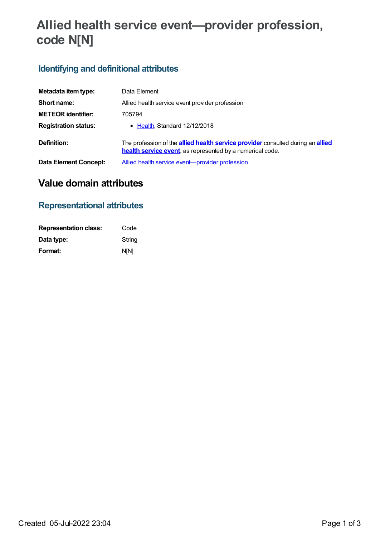# **Allied health service event—provider profession, code N[N]**

# **Identifying and definitional attributes**

| Metadata item type:          | Data Element                                                                                                                                               |
|------------------------------|------------------------------------------------------------------------------------------------------------------------------------------------------------|
| Short name:                  | Allied health service event provider profession                                                                                                            |
| <b>METEOR identifier:</b>    | 705794                                                                                                                                                     |
| <b>Registration status:</b>  | $\bullet$ Health Standard 12/12/2018                                                                                                                       |
| Definition:                  | The profession of the <b>allied health service provider</b> consulted during an <b>allied</b><br>health service event, as represented by a numerical code. |
| <b>Data Element Concept:</b> | Allied health service event-provider profession                                                                                                            |

# **Value domain attributes**

## **Representational attributes**

| <b>Representation class:</b> | Code        |
|------------------------------|-------------|
| Data type:                   | String      |
| Format:                      | <b>N[N]</b> |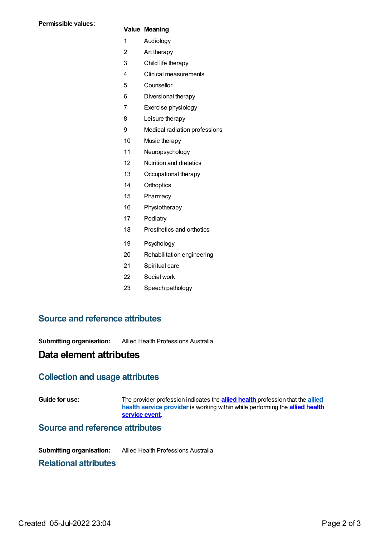#### **Value Meaning**

- Audiology
- Art therapy
- Child life therapy
- Clinical measurements
- Counsellor
- Diversional therapy
- Exercise physiology
- Leisure therapy
- Medical radiation professions
- Music therapy
- Neuropsychology
- Nutrition and dietetics
- Occupational therapy
- Orthoptics
- Pharmacy
- Physiotherapy
- Podiatry
- Prosthetics and orthotics
- Psychology
- Rehabilitation engineering
- Spiritual care
- Social work
- Speech pathology

## **Source and reference attributes**

**Submitting organisation:** Allied Health Professions Australia

## **Data element attributes**

## **Collection and usage attributes**

**Guide for use:** The provider [profession](file:///content/705622) indicates the **allied [health](https://meteor.aihw.gov.au/content/708041)** profession that the **allied health service provider** is working within while [performing](https://meteor.aihw.gov.au/content/705578) the **allied health service event**.

#### **Source and reference attributes**

**Submitting organisation:** Allied Health Professions Australia

#### **Relational attributes**